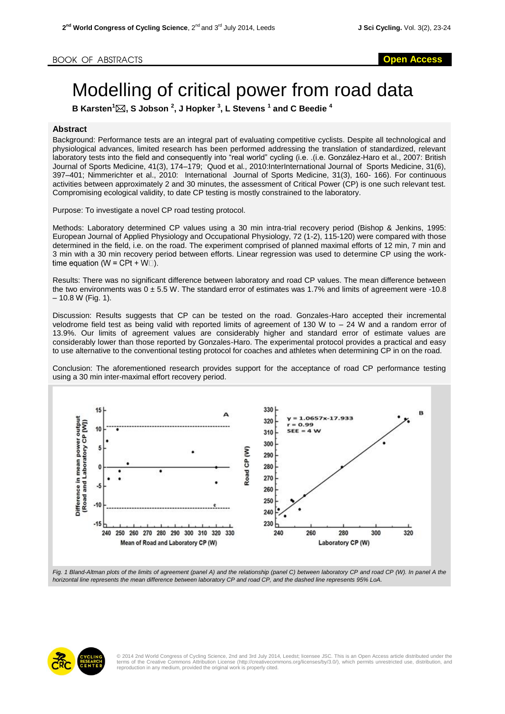## Modelling of critical power from road data

**B Karsten<sup>1</sup>, S Jobson <sup>2</sup> , J Hopker <sup>3</sup> , L Stevens <sup>1</sup> and C Beedie <sup>4</sup>**

## **Abstract**

Background: Performance tests are an integral part of evaluating competitive cyclists. Despite all technological and physiological advances, limited research has been performed addressing the translation of standardized, relevant laboratory tests into the field and consequently into "real world" cycling (i.e. .(i.e. González-Haro et al., 2007: British Journal of Sports Medicine, 41(3), 174–179; Quod et al., 2010:InterInternational Journal of Sports Medicine, 31(6), 397–401; Nimmerichter et al., 2010: International Journal of Sports Medicine, 31(3), 160- 166). For continuous activities between approximately 2 and 30 minutes, the assessment of Critical Power (CP) is one such relevant test. Compromising ecological validity, to date CP testing is mostly constrained to the laboratory.

Purpose: To investigate a novel CP road testing protocol.

Methods: Laboratory determined CP values using a 30 min intra-trial recovery period (Bishop & Jenkins, 1995: European Journal of Applied Physiology and Occupational Physiology, 72 (1-2), 115-120) were compared with those determined in the field, i.e. on the road. The experiment comprised of planned maximal efforts of 12 min, 7 min and 3 min with a 30 min recovery period between efforts. Linear regression was used to determine CP using the worktime equation ( $W = CPt + W\square$ ).

Results: There was no significant difference between laboratory and road CP values. The mean difference between the two environments was  $0 \pm 5.5$  W. The standard error of estimates was 1.7% and limits of agreement were -10.8  $-10.8 W$  (Fig. 1).

Discussion: Results suggests that CP can be tested on the road. Gonzales-Haro accepted their incremental velodrome field test as being valid with reported limits of agreement of 130 W to – 24 W and a random error of 13.9%. Our limits of agreement values are considerably higher and standard error of estimate values are considerably lower than those reported by Gonzales-Haro. The experimental protocol provides a practical and easy to use alternative to the conventional testing protocol for coaches and athletes when determining CP in on the road.

Conclusion: The aforementioned research provides support for the acceptance of road CP performance testing using a 30 min inter-maximal effort recovery period.



*horizontal line represents the mean difference between laboratory CP and road CP, and the dashed line represents 95% LoA.*



© 2014 2nd World Congress of Cycling Science, 2nd and 3rd July 2014, Leedst; licensee JSC. This is an Open Access article distributed under the<br>terms of the Creative Commons Attribution License (http://creativecommons.org/ reproduction in any medium, provided the original work is properly cited.